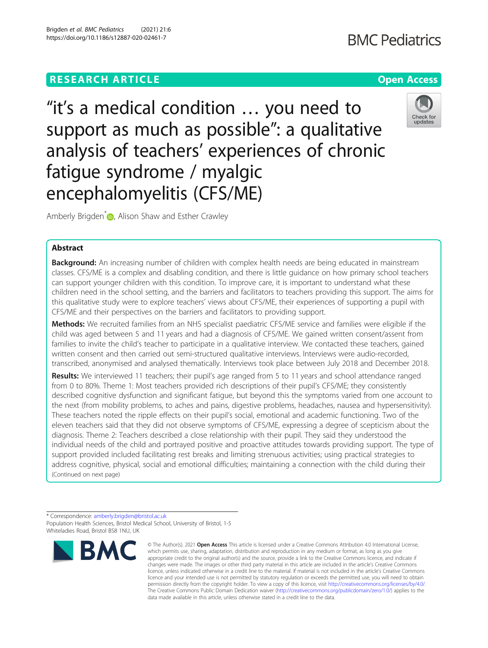"it's a medical condition … you need to support as much as possible": a qualitative analysis of teachers' experiences of chronic fatigue syndrome / myalgic encephalomyelitis (CFS/ME)



Amberly Brigden<sup>[\\*](http://orcid.org/0000-0002-7958-7881)</sup> **D**, Alison Shaw and Esther Crawley

# Abstract

**Background:** An increasing number of children with complex health needs are being educated in mainstream classes. CFS/ME is a complex and disabling condition, and there is little guidance on how primary school teachers can support younger children with this condition. To improve care, it is important to understand what these children need in the school setting, and the barriers and facilitators to teachers providing this support. The aims for this qualitative study were to explore teachers' views about CFS/ME, their experiences of supporting a pupil with CFS/ME and their perspectives on the barriers and facilitators to providing support.

Methods: We recruited families from an NHS specialist paediatric CFS/ME service and families were eligible if the child was aged between 5 and 11 years and had a diagnosis of CFS/ME. We gained written consent/assent from families to invite the child's teacher to participate in a qualitative interview. We contacted these teachers, gained written consent and then carried out semi-structured qualitative interviews. Interviews were audio-recorded, transcribed, anonymised and analysed thematically. Interviews took place between July 2018 and December 2018.

Results: We interviewed 11 teachers; their pupil's age ranged from 5 to 11 years and school attendance ranged from 0 to 80%. Theme 1: Most teachers provided rich descriptions of their pupil's CFS/ME; they consistently described cognitive dysfunction and significant fatigue, but beyond this the symptoms varied from one account to the next (from mobility problems, to aches and pains, digestive problems, headaches, nausea and hypersensitivity). These teachers noted the ripple effects on their pupil's social, emotional and academic functioning. Two of the eleven teachers said that they did not observe symptoms of CFS/ME, expressing a degree of scepticism about the diagnosis. Theme 2: Teachers described a close relationship with their pupil. They said they understood the individual needs of the child and portrayed positive and proactive attitudes towards providing support. The type of support provided included facilitating rest breaks and limiting strenuous activities; using practical strategies to address cognitive, physical, social and emotional difficulties; maintaining a connection with the child during their (Continued on next page)

<sup>\*</sup> Correspondence: [amberly.brigden@bristol.ac.uk](mailto:amberly.brigden@bristol.ac.uk) Population Health Sciences, Bristol Medical School, University of Bristol, 1-5 Whiteladies Road, Bristol BS8 1NU, UK



<sup>©</sup> The Author(s), 2021 **Open Access** This article is licensed under a Creative Commons Attribution 4.0 International License, which permits use, sharing, adaptation, distribution and reproduction in any medium or format, as long as you give appropriate credit to the original author(s) and the source, provide a link to the Creative Commons licence, and indicate if changes were made. The images or other third party material in this article are included in the article's Creative Commons licence, unless indicated otherwise in a credit line to the material. If material is not included in the article's Creative Commons licence and your intended use is not permitted by statutory regulation or exceeds the permitted use, you will need to obtain permission directly from the copyright holder. To view a copy of this licence, visit [http://creativecommons.org/licenses/by/4.0/.](http://creativecommons.org/licenses/by/4.0/) The Creative Commons Public Domain Dedication waiver [\(http://creativecommons.org/publicdomain/zero/1.0/](http://creativecommons.org/publicdomain/zero/1.0/)) applies to the data made available in this article, unless otherwise stated in a credit line to the data.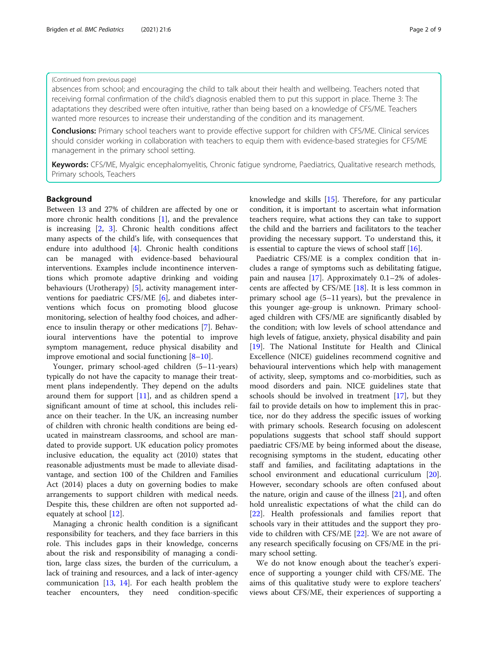## (Continued from previous page)

absences from school; and encouraging the child to talk about their health and wellbeing. Teachers noted that receiving formal confirmation of the child's diagnosis enabled them to put this support in place. Theme 3: The adaptations they described were often intuitive, rather than being based on a knowledge of CFS/ME. Teachers wanted more resources to increase their understanding of the condition and its management.

**Conclusions:** Primary school teachers want to provide effective support for children with CFS/ME. Clinical services should consider working in collaboration with teachers to equip them with evidence-based strategies for CFS/ME management in the primary school setting.

Keywords: CFS/ME, Myalgic encephalomyelitis, Chronic fatigue syndrome, Paediatrics, Qualitative research methods, Primary schools, Teachers

# Background

Between 13 and 27% of children are affected by one or more chronic health conditions [[1](#page-8-0)], and the prevalence is increasing [[2,](#page-8-0) [3\]](#page-8-0). Chronic health conditions affect many aspects of the child's life, with consequences that endure into adulthood [[4\]](#page-8-0). Chronic health conditions can be managed with evidence-based behavioural interventions. Examples include incontinence interventions which promote adaptive drinking and voiding behaviours (Urotherapy) [\[5](#page-8-0)], activity management interventions for paediatric CFS/ME [\[6](#page-8-0)], and diabetes interventions which focus on promoting blood glucose monitoring, selection of healthy food choices, and adherence to insulin therapy or other medications [[7\]](#page-8-0). Behavioural interventions have the potential to improve symptom management, reduce physical disability and improve emotional and social functioning [[8](#page-8-0)–[10\]](#page-8-0).

Younger, primary school-aged children (5–11-years) typically do not have the capacity to manage their treatment plans independently. They depend on the adults around them for support [[11](#page-8-0)], and as children spend a significant amount of time at school, this includes reliance on their teacher. In the UK, an increasing number of children with chronic health conditions are being educated in mainstream classrooms, and school are mandated to provide support. UK education policy promotes inclusive education, the equality act (2010) states that reasonable adjustments must be made to alleviate disadvantage, and section 100 of the Children and Families Act (2014) places a duty on governing bodies to make arrangements to support children with medical needs. Despite this, these children are often not supported adequately at school [\[12](#page-8-0)].

Managing a chronic health condition is a significant responsibility for teachers, and they face barriers in this role. This includes gaps in their knowledge, concerns about the risk and responsibility of managing a condition, large class sizes, the burden of the curriculum, a lack of training and resources, and a lack of inter-agency communication [\[13,](#page-8-0) [14\]](#page-8-0). For each health problem the teacher encounters, they need condition-specific knowledge and skills [\[15\]](#page-8-0). Therefore, for any particular condition, it is important to ascertain what information teachers require, what actions they can take to support the child and the barriers and facilitators to the teacher providing the necessary support. To understand this, it is essential to capture the views of school staff [\[16](#page-8-0)].

Paediatric CFS/ME is a complex condition that includes a range of symptoms such as debilitating fatigue, pain and nausea [\[17\]](#page-8-0). Approximately 0.1–2% of adolescents are affected by CFS/ME [[18\]](#page-8-0). It is less common in primary school age (5–11 years), but the prevalence in this younger age-group is unknown. Primary schoolaged children with CFS/ME are significantly disabled by the condition; with low levels of school attendance and high levels of fatigue, anxiety, physical disability and pain [[19\]](#page-8-0). The National Institute for Health and Clinical Excellence (NICE) guidelines recommend cognitive and behavioural interventions which help with management of activity, sleep, symptoms and co-morbidities, such as mood disorders and pain. NICE guidelines state that schools should be involved in treatment [[17](#page-8-0)], but they fail to provide details on how to implement this in practice, nor do they address the specific issues of working with primary schools. Research focusing on adolescent populations suggests that school staff should support paediatric CFS/ME by being informed about the disease, recognising symptoms in the student, educating other staff and families, and facilitating adaptations in the school environment and educational curriculum [\[20](#page-8-0)]. However, secondary schools are often confused about the nature, origin and cause of the illness [\[21](#page-8-0)], and often hold unrealistic expectations of what the child can do [[22\]](#page-8-0). Health professionals and families report that schools vary in their attitudes and the support they provide to children with CFS/ME [\[22](#page-8-0)]. We are not aware of any research specifically focusing on CFS/ME in the primary school setting.

We do not know enough about the teacher's experience of supporting a younger child with CFS/ME. The aims of this qualitative study were to explore teachers' views about CFS/ME, their experiences of supporting a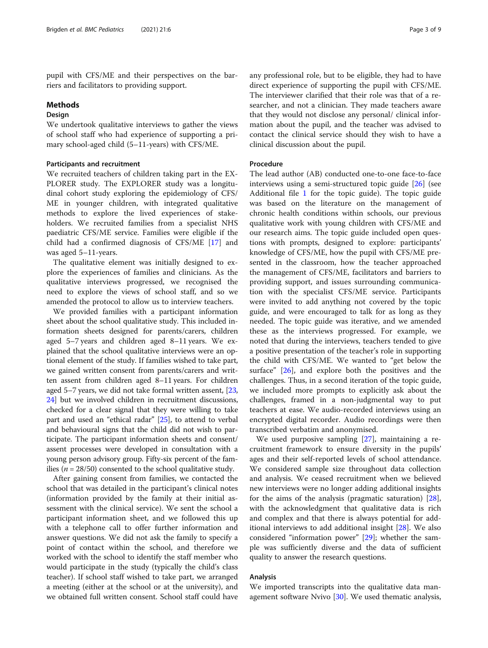pupil with CFS/ME and their perspectives on the barriers and facilitators to providing support.

#### Methods

# Design

We undertook qualitative interviews to gather the views of school staff who had experience of supporting a primary school-aged child (5–11-years) with CFS/ME.

# Participants and recruitment

We recruited teachers of children taking part in the EX-PLORER study. The EXPLORER study was a longitudinal cohort study exploring the epidemiology of CFS/ ME in younger children, with integrated qualitative methods to explore the lived experiences of stakeholders. We recruited families from a specialist NHS paediatric CFS/ME service. Families were eligible if the child had a confirmed diagnosis of CFS/ME [\[17](#page-8-0)] and was aged 5–11-years.

The qualitative element was initially designed to explore the experiences of families and clinicians. As the qualitative interviews progressed, we recognised the need to explore the views of school staff, and so we amended the protocol to allow us to interview teachers.

We provided families with a participant information sheet about the school qualitative study. This included information sheets designed for parents/carers, children aged 5–7 years and children aged 8–11 years. We explained that the school qualitative interviews were an optional element of the study. If families wished to take part, we gained written consent from parents/carers and written assent from children aged 8–11 years. For children aged 5–7 years, we did not take formal written assent, [[23](#page-8-0), [24](#page-8-0)] but we involved children in recruitment discussions, checked for a clear signal that they were willing to take part and used an "ethical radar" [\[25\]](#page-8-0), to attend to verbal and behavioural signs that the child did not wish to participate. The participant information sheets and consent/ assent processes were developed in consultation with a young person advisory group. Fifty-six percent of the families ( $n = 28/50$ ) consented to the school qualitative study.

After gaining consent from families, we contacted the school that was detailed in the participant's clinical notes (information provided by the family at their initial assessment with the clinical service). We sent the school a participant information sheet, and we followed this up with a telephone call to offer further information and answer questions. We did not ask the family to specify a point of contact within the school, and therefore we worked with the school to identify the staff member who would participate in the study (typically the child's class teacher). If school staff wished to take part, we arranged a meeting (either at the school or at the university), and we obtained full written consent. School staff could have any professional role, but to be eligible, they had to have direct experience of supporting the pupil with CFS/ME. The interviewer clarified that their role was that of a researcher, and not a clinician. They made teachers aware that they would not disclose any personal/ clinical information about the pupil, and the teacher was advised to contact the clinical service should they wish to have a clinical discussion about the pupil.

# Procedure

The lead author (AB) conducted one-to-one face-to-face interviews using a semi-structured topic guide [[26\]](#page-8-0) (see Additional file [1](#page-7-0) for the topic guide). The topic guide was based on the literature on the management of chronic health conditions within schools, our previous qualitative work with young children with CFS/ME and our research aims. The topic guide included open questions with prompts, designed to explore: participants' knowledge of CFS/ME, how the pupil with CFS/ME presented in the classroom, how the teacher approached the management of CFS/ME, facilitators and barriers to providing support, and issues surrounding communication with the specialist CFS/ME service. Participants were invited to add anything not covered by the topic guide, and were encouraged to talk for as long as they needed. The topic guide was iterative, and we amended these as the interviews progressed. For example, we noted that during the interviews, teachers tended to give a positive presentation of the teacher's role in supporting the child with CFS/ME. We wanted to "get below the surface" [[26\]](#page-8-0), and explore both the positives and the challenges. Thus, in a second iteration of the topic guide, we included more prompts to explicitly ask about the challenges, framed in a non-judgmental way to put teachers at ease. We audio-recorded interviews using an encrypted digital recorder. Audio recordings were then transcribed verbatim and anonymised.

We used purposive sampling [\[27](#page-8-0)], maintaining a recruitment framework to ensure diversity in the pupils' ages and their self-reported levels of school attendance. We considered sample size throughout data collection and analysis. We ceased recruitment when we believed new interviews were no longer adding additional insights for the aims of the analysis (pragmatic saturation)  $[28]$  $[28]$ , with the acknowledgment that qualitative data is rich and complex and that there is always potential for additional interviews to add additional insight [\[28](#page-8-0)]. We also considered "information power" [\[29](#page-8-0)]; whether the sample was sufficiently diverse and the data of sufficient quality to answer the research questions.

## Analysis

We imported transcripts into the qualitative data management software Nvivo [[30\]](#page-8-0). We used thematic analysis,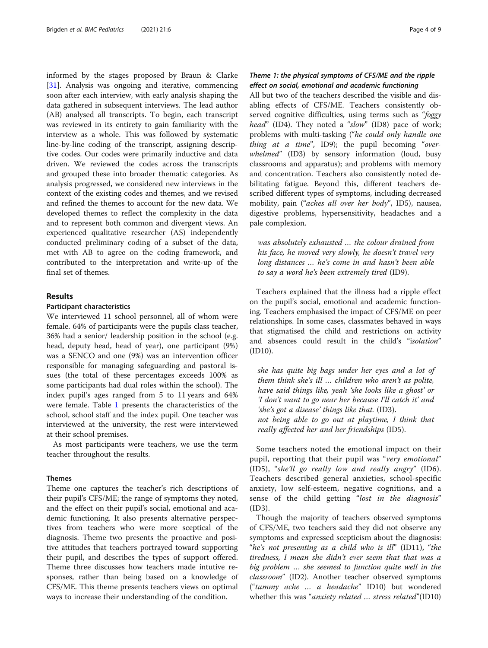informed by the stages proposed by Braun & Clarke [[31\]](#page-8-0). Analysis was ongoing and iterative, commencing soon after each interview, with early analysis shaping the data gathered in subsequent interviews. The lead author (AB) analysed all transcripts. To begin, each transcript was reviewed in its entirety to gain familiarity with the interview as a whole. This was followed by systematic line-by-line coding of the transcript, assigning descriptive codes. Our codes were primarily inductive and data driven. We reviewed the codes across the transcripts and grouped these into broader thematic categories. As analysis progressed, we considered new interviews in the context of the existing codes and themes, and we revised and refined the themes to account for the new data. We developed themes to reflect the complexity in the data and to represent both common and divergent views. An experienced qualitative researcher (AS) independently conducted preliminary coding of a subset of the data, met with AB to agree on the coding framework, and contributed to the interpretation and write-up of the final set of themes.

# Results

## Participant characteristics

We interviewed 11 school personnel, all of whom were female. 64% of participants were the pupils class teacher, 36% had a senior/ leadership position in the school (e.g. head, deputy head, head of year), one participant (9%) was a SENCO and one (9%) was an intervention officer responsible for managing safeguarding and pastoral issues (the total of these percentages exceeds 100% as some participants had dual roles within the school). The index pupil's ages ranged from 5 to 11 years and 64% were female. Table [1](#page-4-0) presents the characteristics of the school, school staff and the index pupil. One teacher was interviewed at the university, the rest were interviewed at their school premises.

As most participants were teachers, we use the term teacher throughout the results.

## Themes

Theme one captures the teacher's rich descriptions of their pupil's CFS/ME; the range of symptoms they noted, and the effect on their pupil's social, emotional and academic functioning. It also presents alternative perspectives from teachers who were more sceptical of the diagnosis. Theme two presents the proactive and positive attitudes that teachers portrayed toward supporting their pupil, and describes the types of support offered. Theme three discusses how teachers made intutive responses, rather than being based on a knowledge of CFS/ME. This theme presents teachers views on optimal ways to increase their understanding of the condition.

# Theme 1: the physical symptoms of CFS/ME and the ripple effect on social, emotional and academic functioning

All but two of the teachers described the visible and disabling effects of CFS/ME. Teachers consistently observed cognitive difficulties, using terms such as "foggy head" (ID4). They noted a "slow" (ID8) pace of work; problems with multi-tasking ("he could only handle one *thing at a time*", ID9); the pupil becoming "overwhelmed" (ID3) by sensory information (loud, busy classrooms and apparatus); and problems with memory and concentration. Teachers also consistently noted debilitating fatigue. Beyond this, different teachers described different types of symptoms, including decreased mobility, pain ("aches all over her body", ID5), nausea, digestive problems, hypersensitivity, headaches and a pale complexion.

was absolutely exhausted … the colour drained from his face, he moved very slowly, he doesn't travel very long distances … he's come in and hasn't been able to say a word he's been extremely tired (ID9).

Teachers explained that the illness had a ripple effect on the pupil's social, emotional and academic functioning. Teachers emphasised the impact of CFS/ME on peer relationships. In some cases, classmates behaved in ways that stigmatised the child and restrictions on activity and absences could result in the child's "isolation" (ID10).

she has quite big bags under her eyes and a lot of them think she's ill … children who aren't as polite, have said things like, yeah 'she looks like a ghost' or 'I don't want to go near her because I'll catch it' and 'she's got a disease' things like that. (ID3). not being able to go out at playtime, I think that really affected her and her friendships (ID5).

Some teachers noted the emotional impact on their pupil, reporting that their pupil was "very emotional" (ID5), "she'll go really low and really angry" (ID6). Teachers described general anxieties, school-specific anxiety, low self-esteem, negative cognitions, and a sense of the child getting "lost in the diagnosis" (ID3).

Though the majority of teachers observed symptoms of CFS/ME, two teachers said they did not observe any symptoms and expressed scepticism about the diagnosis: "he's not presenting as a child who is ill" (ID11), "the tiredness, I mean she didn't ever seem that that was a big problem … she seemed to function quite well in the classroom" (ID2). Another teacher observed symptoms ("tummy ache … a headache" ID10) but wondered whether this was "*anxiety related ... stress related*"(ID10)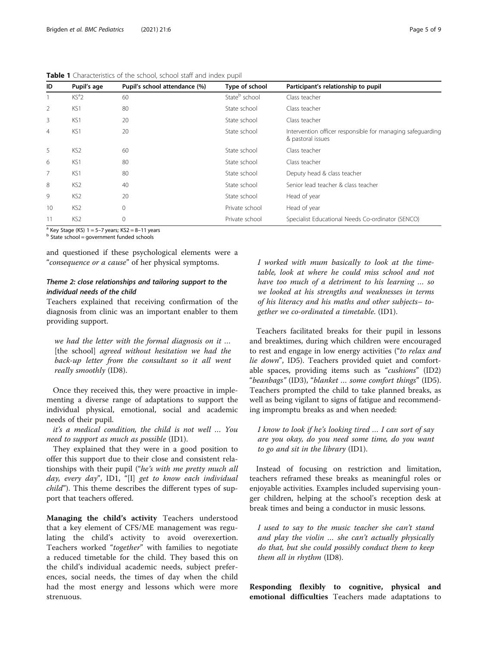<span id="page-4-0"></span>

|  |  | Table 1 Characteristics of the school, school staff and index pupil |  |  |  |  |  |  |  |  |  |
|--|--|---------------------------------------------------------------------|--|--|--|--|--|--|--|--|--|
|--|--|---------------------------------------------------------------------|--|--|--|--|--|--|--|--|--|

| ID | Pupil's age     | Pupil's school attendance (%) | Type of school            | Participant's relationship to pupil                                             |
|----|-----------------|-------------------------------|---------------------------|---------------------------------------------------------------------------------|
|    | $KS^a2$         | 60                            | State <sup>b</sup> school | Class teacher                                                                   |
| 2  | KS1             | 80                            | State school              | Class teacher                                                                   |
| 3  | KS1             | 20                            | State school              | Class teacher                                                                   |
| 4  | KS1             | 20                            | State school              | Intervention officer responsible for managing safeguarding<br>& pastoral issues |
| 5  | KS <sub>2</sub> | 60                            | State school              | Class teacher                                                                   |
| 6  | KS1             | 80                            | State school              | Class teacher                                                                   |
| 7  | KS1             | 80                            | State school              | Deputy head & class teacher                                                     |
| 8  | KS <sub>2</sub> | 40                            | State school              | Senior lead teacher & class teacher                                             |
| 9  | KS <sub>2</sub> | 20                            | State school              | Head of year                                                                    |
| 10 | KS <sub>2</sub> | $\mathbf{0}$                  | Private school            | Head of year                                                                    |
| 11 | KS <sub>2</sub> | 0                             | Private school            | Specialist Educational Needs Co-ordinator (SENCO)                               |

<sup>a</sup> Key Stage (KS) 1 = 5–7 years; KS2 = 8–11 years b State school = government funded schools

and questioned if these psychological elements were a "consequence or a cause" of her physical symptoms.

# Theme 2: close relationships and tailoring support to the individual needs of the child

Teachers explained that receiving confirmation of the diagnosis from clinic was an important enabler to them providing support.

we had the letter with the formal diagnosis on it … [the school] agreed without hesitation we had the back-up letter from the consultant so it all went really smoothly (ID8).

Once they received this, they were proactive in implementing a diverse range of adaptations to support the individual physical, emotional, social and academic needs of their pupil.

it's a medical condition, the child is not well … You need to support as much as possible (ID1).

They explained that they were in a good position to offer this support due to their close and consistent relationships with their pupil ("he's with me pretty much all day, every day", ID1, "[I] get to know each individual child"). This theme describes the different types of support that teachers offered.

Managing the child's activity Teachers understood that a key element of CFS/ME management was regulating the child's activity to avoid overexertion. Teachers worked "together" with families to negotiate a reduced timetable for the child. They based this on the child's individual academic needs, subject preferences, social needs, the times of day when the child had the most energy and lessons which were more strenuous.

I worked with mum basically to look at the timetable, look at where he could miss school and not have too much of a detriment to his learning … so we looked at his strengths and weaknesses in terms of his literacy and his maths and other subjects– together we co-ordinated a timetable. (ID1).

Teachers facilitated breaks for their pupil in lessons and breaktimes, during which children were encouraged to rest and engage in low energy activities ("to relax and lie down", ID5). Teachers provided quiet and comfortable spaces, providing items such as "cushions" (ID2) "beanbags" (ID3), "blanket … some comfort things" (ID5). Teachers prompted the child to take planned breaks, as well as being vigilant to signs of fatigue and recommending impromptu breaks as and when needed:

I know to look if he's looking tired … I can sort of say are you okay, do you need some time, do you want to go and sit in the library (ID1).

Instead of focusing on restriction and limitation, teachers reframed these breaks as meaningful roles or enjoyable activities. Examples included supervising younger children, helping at the school's reception desk at break times and being a conductor in music lessons.

I used to say to the music teacher she can't stand and play the violin … she can't actually physically do that, but she could possibly conduct them to keep them all in rhythm (ID8).

Responding flexibly to cognitive, physical and emotional difficulties Teachers made adaptations to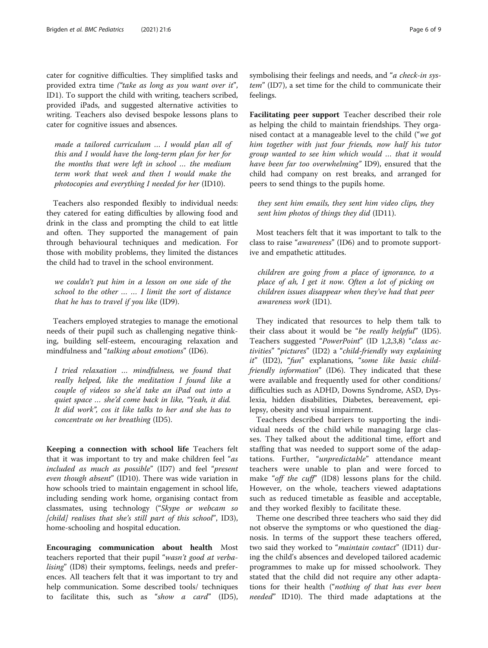cater for cognitive difficulties. They simplified tasks and provided extra time ("take as long as you want over it", ID1). To support the child with writing, teachers scribed, provided iPads, and suggested alternative activities to writing. Teachers also devised bespoke lessons plans to cater for cognitive issues and absences.

made a tailored curriculum … I would plan all of this and I would have the long-term plan for her for the months that were left in school … the medium term work that week and then I would make the photocopies and everything I needed for her (ID10).

Teachers also responded flexibly to individual needs: they catered for eating difficulties by allowing food and drink in the class and prompting the child to eat little and often. They supported the management of pain through behavioural techniques and medication. For those with mobility problems, they limited the distances the child had to travel in the school environment.

we couldn't put him in a lesson on one side of the school to the other … … I limit the sort of distance that he has to travel if you like (ID9).

Teachers employed strategies to manage the emotional needs of their pupil such as challenging negative thinking, building self-esteem, encouraging relaxation and mindfulness and "talking about emotions" (ID6).

I tried relaxation … mindfulness, we found that really helped, like the meditation I found like a couple of videos so she'd take an iPad out into a quiet space … she'd come back in like, "Yeah, it did. It did work", cos it like talks to her and she has to concentrate on her breathing (ID5).

Keeping a connection with school life Teachers felt that it was important to try and make children feel "as included as much as possible" (ID7) and feel "present even though absent" (ID10). There was wide variation in how schools tried to maintain engagement in school life, including sending work home, organising contact from classmates, using technology ("Skype or webcam so [child] realises that she's still part of this school", ID3), home-schooling and hospital education.

Encouraging communication about health Most teachers reported that their pupil "wasn't good at verbalising" (ID8) their symptoms, feelings, needs and preferences. All teachers felt that it was important to try and help communication. Some described tools/ techniques to facilitate this, such as "show a card" (ID5), symbolising their feelings and needs, and "a check-in system" (ID7), a set time for the child to communicate their feelings.

Facilitating peer support Teacher described their role as helping the child to maintain friendships. They organised contact at a manageable level to the child ("we got him together with just four friends, now half his tutor group wanted to see him which would … that it would have been far too overwhelming" ID9), ensured that the child had company on rest breaks, and arranged for peers to send things to the pupils home.

they sent him emails, they sent him video clips, they sent him photos of things they did (ID11).

Most teachers felt that it was important to talk to the class to raise "awareness" (ID6) and to promote supportive and empathetic attitudes.

children are going from a place of ignorance, to a place of ah, I get it now. Often a lot of picking on children issues disappear when they've had that peer awareness work (ID1).

They indicated that resources to help them talk to their class about it would be "be really helpful" (ID5). Teachers suggested "PowerPoint" (ID 1,2,3,8) "class activities" "pictures" (ID2) a "child-friendly way explaining it" (ID2), "fun" explanations, "some like basic childfriendly information" (ID6). They indicated that these were available and frequently used for other conditions/ difficulties such as ADHD, Downs Syndrome, ASD, Dyslexia, hidden disabilities, Diabetes, bereavement, epilepsy, obesity and visual impairment.

Teachers described barriers to supporting the individual needs of the child while managing large classes. They talked about the additional time, effort and staffing that was needed to support some of the adaptations. Further, "unpredictable" attendance meant teachers were unable to plan and were forced to make "off the cuff" (ID8) lessons plans for the child. However, on the whole, teachers viewed adaptations such as reduced timetable as feasible and acceptable, and they worked flexibly to facilitate these.

Theme one described three teachers who said they did not observe the symptoms or who questioned the diagnosis. In terms of the support these teachers offered, two said they worked to "*maintain contact*" (ID11) during the child's absences and developed tailored academic programmes to make up for missed schoolwork. They stated that the child did not require any other adaptations for their health ("nothing of that has ever been needed" ID10). The third made adaptations at the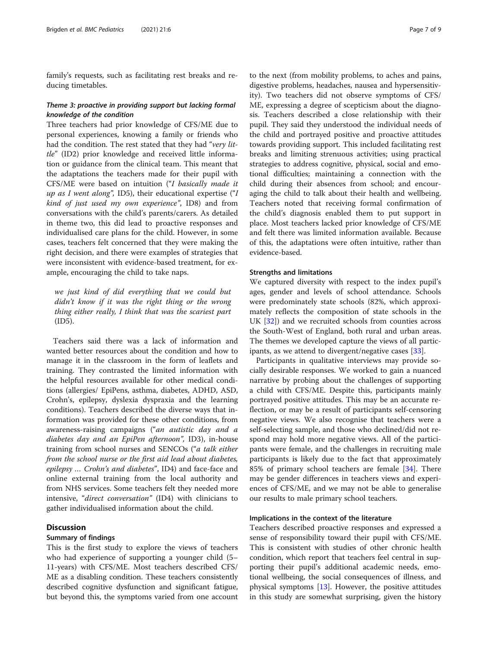family's requests, such as facilitating rest breaks and reducing timetables.

# Theme 3: proactive in providing support but lacking formal knowledge of the condition

Three teachers had prior knowledge of CFS/ME due to personal experiences, knowing a family or friends who had the condition. The rest stated that they had "very little" (ID2) prior knowledge and received little information or guidance from the clinical team. This meant that the adaptations the teachers made for their pupil with CFS/ME were based on intuition ("I basically made it up as I went along", ID5), their educational expertise  $(T)$ kind of just used my own experience", ID8) and from conversations with the child's parents/carers. As detailed in theme two, this did lead to proactive responses and individualised care plans for the child. However, in some cases, teachers felt concerned that they were making the right decision, and there were examples of strategies that were inconsistent with evidence-based treatment, for example, encouraging the child to take naps.

we just kind of did everything that we could but didn't know if it was the right thing or the wrong thing either really, I think that was the scariest part (ID5).

Teachers said there was a lack of information and wanted better resources about the condition and how to manage it in the classroom in the form of leaflets and training. They contrasted the limited information with the helpful resources available for other medical conditions (allergies/ EpiPens, asthma, diabetes, ADHD, ASD, Crohn's, epilepsy, dyslexia dyspraxia and the learning conditions). Teachers described the diverse ways that information was provided for these other conditions, from awareness-raising campaigns ("an autistic day and a diabetes day and an EpiPen afternoon", ID3), in-house training from school nurses and SENCOs ("a talk either from the school nurse or the first aid lead about diabetes, epilepsy … Crohn's and diabetes", ID4) and face-face and online external training from the local authority and from NHS services. Some teachers felt they needed more intensive, "direct conversation" (ID4) with clinicians to gather individualised information about the child.

# **Discussion**

#### Summary of findings

This is the first study to explore the views of teachers who had experience of supporting a younger child (5– 11-years) with CFS/ME. Most teachers described CFS/ ME as a disabling condition. These teachers consistently described cognitive dysfunction and significant fatigue, but beyond this, the symptoms varied from one account to the next (from mobility problems, to aches and pains, digestive problems, headaches, nausea and hypersensitivity). Two teachers did not observe symptoms of CFS/ ME, expressing a degree of scepticism about the diagnosis. Teachers described a close relationship with their pupil. They said they understood the individual needs of the child and portrayed positive and proactive attitudes towards providing support. This included facilitating rest breaks and limiting strenuous activities; using practical strategies to address cognitive, physical, social and emotional difficulties; maintaining a connection with the child during their absences from school; and encouraging the child to talk about their health and wellbeing. Teachers noted that receiving formal confirmation of the child's diagnosis enabled them to put support in place. Most teachers lacked prior knowledge of CFS/ME and felt there was limited information available. Because of this, the adaptations were often intuitive, rather than evidence-based.

# Strengths and limitations

We captured diversity with respect to the index pupil's ages, gender and levels of school attendance. Schools were predominately state schools (82%, which approximately reflects the composition of state schools in the UK [\[32\]](#page-8-0)) and we recruited schools from counties across the South-West of England, both rural and urban areas. The themes we developed capture the views of all participants, as we attend to divergent/negative cases [[33](#page-8-0)].

Participants in qualitative interviews may provide socially desirable responses. We worked to gain a nuanced narrative by probing about the challenges of supporting a child with CFS/ME. Despite this, participants mainly portrayed positive attitudes. This may be an accurate reflection, or may be a result of participants self-censoring negative views. We also recognise that teachers were a self-selecting sample, and those who declined/did not respond may hold more negative views. All of the participants were female, and the challenges in recruiting male participants is likely due to the fact that approximately 85% of primary school teachers are female [[34\]](#page-8-0). There may be gender differences in teachers views and experiences of CFS/ME, and we may not be able to generalise our results to male primary school teachers.

# Implications in the context of the literature

Teachers described proactive responses and expressed a sense of responsibility toward their pupil with CFS/ME. This is consistent with studies of other chronic health condition, which report that teachers feel central in supporting their pupil's additional academic needs, emotional wellbeing, the social consequences of illness, and physical symptoms [\[13\]](#page-8-0). However, the positive attitudes in this study are somewhat surprising, given the history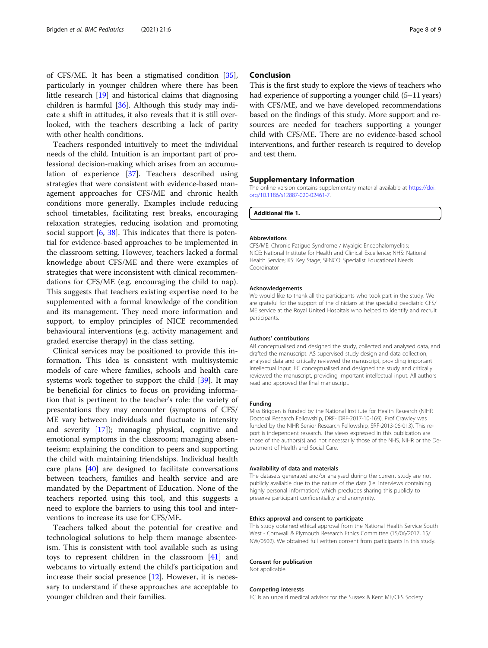<span id="page-7-0"></span>of CFS/ME. It has been a stigmatised condition [\[35](#page-8-0)], particularly in younger children where there has been little research [\[19\]](#page-8-0) and historical claims that diagnosing children is harmful [[36\]](#page-8-0). Although this study may indicate a shift in attitudes, it also reveals that it is still overlooked, with the teachers describing a lack of parity with other health conditions.

Teachers responded intuitively to meet the individual needs of the child. Intuition is an important part of professional decision-making which arises from an accumulation of experience [\[37](#page-8-0)]. Teachers described using strategies that were consistent with evidence-based management approaches for CFS/ME and chronic health conditions more generally. Examples include reducing school timetables, facilitating rest breaks, encouraging relaxation strategies, reducing isolation and promoting social support [[6,](#page-8-0) [38\]](#page-8-0). This indicates that there is potential for evidence-based approaches to be implemented in the classroom setting. However, teachers lacked a formal knowledge about CFS/ME and there were examples of strategies that were inconsistent with clinical recommendations for CFS/ME (e.g. encouraging the child to nap). This suggests that teachers existing expertise need to be supplemented with a formal knowledge of the condition and its management. They need more information and support, to employ principles of NICE recommended behavioural interventions (e.g. activity management and graded exercise therapy) in the class setting.

Clinical services may be positioned to provide this information. This idea is consistent with multisystemic models of care where families, schools and health care systems work together to support the child [[39](#page-8-0)]. It may be beneficial for clinics to focus on providing information that is pertinent to the teacher's role: the variety of presentations they may encounter (symptoms of CFS/ ME vary between individuals and fluctuate in intensity and severity [\[17\]](#page-8-0)); managing physical, cognitive and emotional symptoms in the classroom; managing absenteeism; explaining the condition to peers and supporting the child with maintaining friendships. Individual health care plans [\[40](#page-8-0)] are designed to facilitate conversations between teachers, families and health service and are mandated by the Department of Education. None of the teachers reported using this tool, and this suggests a need to explore the barriers to using this tool and interventions to increase its use for CFS/ME.

Teachers talked about the potential for creative and technological solutions to help them manage absenteeism. This is consistent with tool available such as using toys to represent children in the classroom [[41\]](#page-8-0) and webcams to virtually extend the child's participation and increase their social presence [[12](#page-8-0)]. However, it is necessary to understand if these approaches are acceptable to younger children and their families.

# Conclusion

This is the first study to explore the views of teachers who had experience of supporting a younger child  $(5-11 \text{ years})$ with CFS/ME, and we have developed recommendations based on the findings of this study. More support and resources are needed for teachers supporting a younger child with CFS/ME. There are no evidence-based school interventions, and further research is required to develop and test them.

## Supplementary Information

The online version contains supplementary material available at [https://doi.](https://doi.org/10.1186/s12887-020-02461-7) [org/10.1186/s12887-020-02461-7.](https://doi.org/10.1186/s12887-020-02461-7)

Additional file 1.

#### Abbreviations

CFS/ME: Chronic Fatigue Syndrome / Myalgic Encephalomyelitis; NICE: National Institute for Health and Clinical Excellence; NHS: National Health Service; KS: Key Stage; SENCO: Specialist Educational Needs Coordinator

#### Acknowledgements

We would like to thank all the participants who took part in the study. We are grateful for the support of the clinicians at the specialist paediatric CFS/ ME service at the Royal United Hospitals who helped to identify and recruit participants.

#### Authors' contributions

AB conceptualised and designed the study, collected and analysed data, and drafted the manuscript. AS supervised study design and data collection, analysed data and critically reviewed the manuscript, providing important intellectual input. EC conceptualised and designed the study and critically reviewed the manuscript, providing important intellectual input. All authors read and approved the final manuscript.

#### Funding

Miss Brigden is funded by the National Institute for Health Research (NIHR Doctoral Research Fellowship, DRF- DRF-2017-10-169). Prof Crawley was funded by the NIHR Senior Research Fellowship, SRF-2013-06-013). This report is independent research. The views expressed in this publication are those of the authors(s) and not necessarily those of the NHS, NIHR or the Department of Health and Social Care.

#### Availability of data and materials

The datasets generated and/or analysed during the current study are not publicly available due to the nature of the data (i.e. interviews containing highly personal information) which precludes sharing this publicly to preserve participant confidentiality and anonymity.

#### Ethics approval and consent to participate

This study obtained ethical approval from the National Health Service South West - Cornwall & Plymouth Research Ethics Committee (15/06/2017, 15/ NW/0502). We obtained full written consent from participants in this study.

## Consent for publication

Not applicable.

#### Competing interests

EC is an unpaid medical advisor for the Sussex & Kent ME/CFS Society.